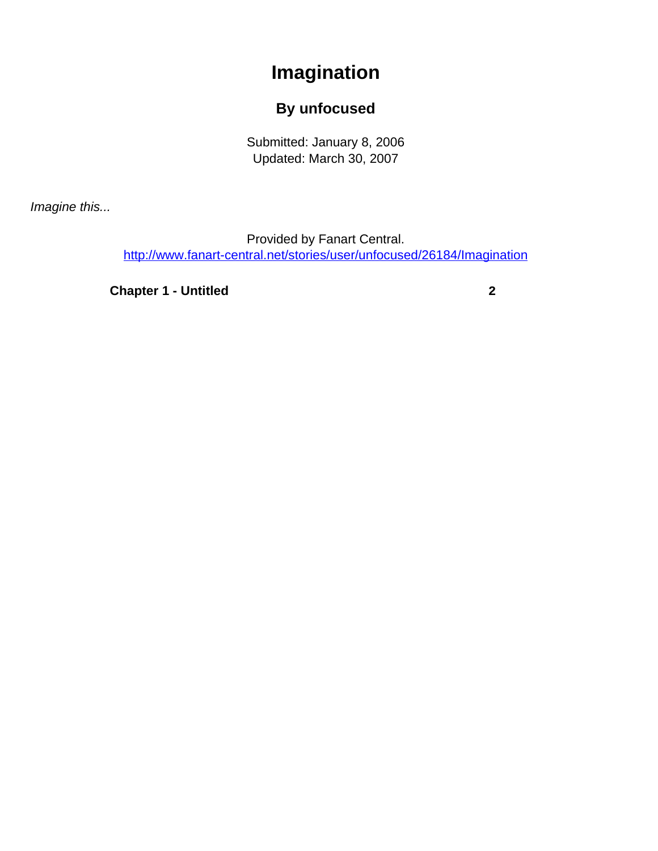## **Imagination**

## **By unfocused**

Submitted: January 8, 2006 Updated: March 30, 2007

<span id="page-0-0"></span>Imagine this...

Provided by Fanart Central. [http://www.fanart-central.net/stories/user/unfocused/26184/Imagination](#page-0-0)

**[Chapter 1 - Untitled](#page-1-0)** [2](#page-1-0)